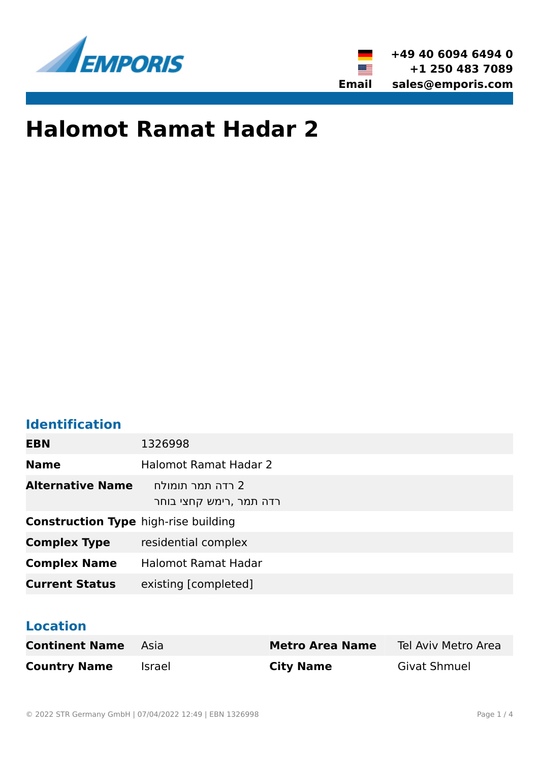



# **Halomot Ramat Hadar 2**

# **Identification**

| <b>EBN</b>                                  | 1326998                                     |
|---------------------------------------------|---------------------------------------------|
| <b>Name</b>                                 | <b>Halomot Ramat Hadar 2</b>                |
| <b>Alternative Name</b>                     | 2 רדה תמר תומולח<br>רדה תמר ,רימש קחצי בוחר |
| <b>Construction Type high-rise building</b> |                                             |
| <b>Complex Type</b>                         | residential complex                         |
| <b>Complex Name</b>                         | <b>Halomot Ramat Hadar</b>                  |
| <b>Current Status</b>                       | existing [completed]                        |

# **Location**

| <b>Continent Name</b> Asia |        | <b>Metro Area Name</b> | Tel Aviv Metro Area |
|----------------------------|--------|------------------------|---------------------|
| <b>Country Name</b>        | Israel | <b>City Name</b>       | <b>Givat Shmuel</b> |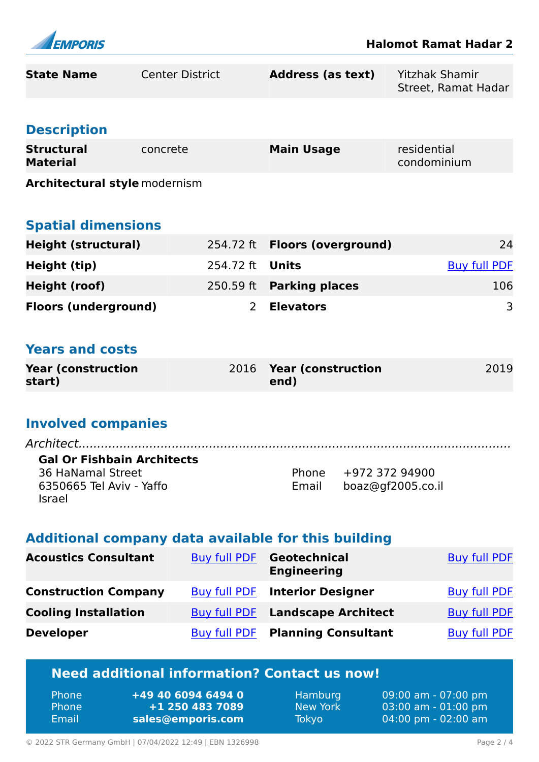

| <b>State Name</b>                                                                                                        | <b>Center District</b> |                     | <b>Address (as text)</b>                  |                                           | <b>Yitzhak Shamir</b><br>Street, Ramat Hadar |
|--------------------------------------------------------------------------------------------------------------------------|------------------------|---------------------|-------------------------------------------|-------------------------------------------|----------------------------------------------|
| <b>Description</b>                                                                                                       |                        |                     |                                           |                                           |                                              |
| <b>Structural</b><br><b>Material</b>                                                                                     | concrete               |                     | <b>Main Usage</b>                         |                                           | residential<br>condominium                   |
| <b>Architectural style modernism</b>                                                                                     |                        |                     |                                           |                                           |                                              |
| <b>Spatial dimensions</b>                                                                                                |                        |                     |                                           |                                           |                                              |
| <b>Height (structural)</b>                                                                                               |                        | 254.72 ft           | <b>Floors (overground)</b>                |                                           | 24                                           |
| <b>Height (tip)</b>                                                                                                      |                        | 254.72 ft           | <b>Units</b>                              |                                           | <b>Buy full PDF</b>                          |
| <b>Height (roof)</b>                                                                                                     |                        | 250.59 ft           | <b>Parking places</b>                     |                                           | 106                                          |
| <b>Floors (underground)</b>                                                                                              |                        | $\overline{2}$      | <b>Elevators</b>                          |                                           | 3                                            |
|                                                                                                                          |                        |                     |                                           |                                           |                                              |
| <b>Years and costs</b>                                                                                                   |                        |                     |                                           |                                           |                                              |
| <b>Year (construction</b><br>start)                                                                                      |                        | 2016                | <b>Year (construction</b><br>end)         |                                           | 2019                                         |
|                                                                                                                          |                        |                     |                                           |                                           |                                              |
| <b>Involved companies</b>                                                                                                |                        |                     |                                           |                                           |                                              |
| Architect.<br><b>Gal Or Fishbain Architects</b><br><b>36 HaNamal Street</b><br>6350665 Tel Aviv - Yaffo<br><b>Israel</b> |                        |                     | Email                                     | Phone +972 372 94900<br>boaz@gf2005.co.il |                                              |
| Additional company data available for this building                                                                      |                        |                     |                                           |                                           |                                              |
| <b>Acoustics Consultant</b>                                                                                              |                        | <b>Buy full PDF</b> | <b>Geotechnical</b><br><b>Engineering</b> |                                           | <b>Buy full PDF</b>                          |
| <b>Construction Company</b>                                                                                              |                        | <b>Buy full PDF</b> | <b>Interior Designer</b>                  |                                           | <b>Buy full PDF</b>                          |
| <b>Cooling Installation</b>                                                                                              |                        | <b>Buy full PDF</b> | <b>Landscape Architect</b>                |                                           | <b>Buy full PDF</b>                          |
| <b>Developer</b>                                                                                                         |                        | <b>Buy full PDF</b> | <b>Planning Consultant</b>                |                                           | <b>Buy full PDF</b>                          |
| Need additional information? Contact us now!                                                                             |                        |                     |                                           |                                           |                                              |

#### **Need additional information? Contact us now!**

| 'Phone       | +49 40 6094 6494 0 |
|--------------|--------------------|
| <b>Phone</b> | +1 250 483 7089    |
| Email        | sales@emporis.com  |

Hamburg 09:00 am - 07:00 pm New York 03:00 am - 01:00 pm Tokyo 04:00 pm - 02:00 am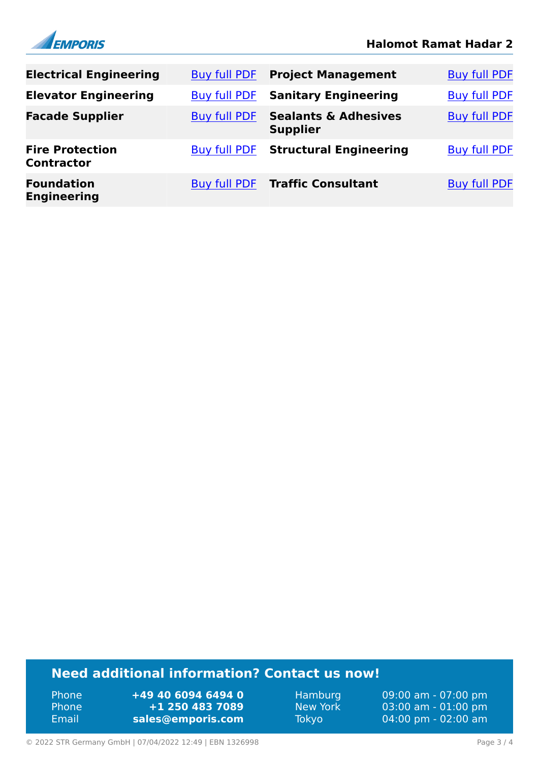



| <b>Electrical Engineering</b>               | Buy full PDF        | <b>Project Management</b>                          | <b>Buy full PDF</b> |
|---------------------------------------------|---------------------|----------------------------------------------------|---------------------|
| <b>Elevator Engineering</b>                 | Buy full PDF        | <b>Sanitary Engineering</b>                        | <b>Buy full PDF</b> |
| <b>Facade Supplier</b>                      | Buy full PDF        | <b>Sealants &amp; Adhesives</b><br><b>Supplier</b> | <b>Buy full PDF</b> |
| <b>Fire Protection</b><br><b>Contractor</b> | <b>Buy full PDF</b> | <b>Structural Engineering</b>                      | <b>Buy full PDF</b> |
| <b>Foundation</b><br><b>Engineering</b>     | <b>Buy full PDF</b> | <b>Traffic Consultant</b>                          | <b>Buy full PDF</b> |

# **Need additional information? Contact us now!**

Phone **+49 40 6094 6494 0<br>
Phone <b>+1 250 483 7089** Phone **+1 250 483 7089** Email **<sales@emporis.com>**

Hamburg 09:00 am - 07:00 pm<br>New York 03:00 am - 01:00 pm New York 03:00 am - 01:00 pm<br>Tokyo 04:00 pm - 02:00 am 04:00 pm - 02:00 am